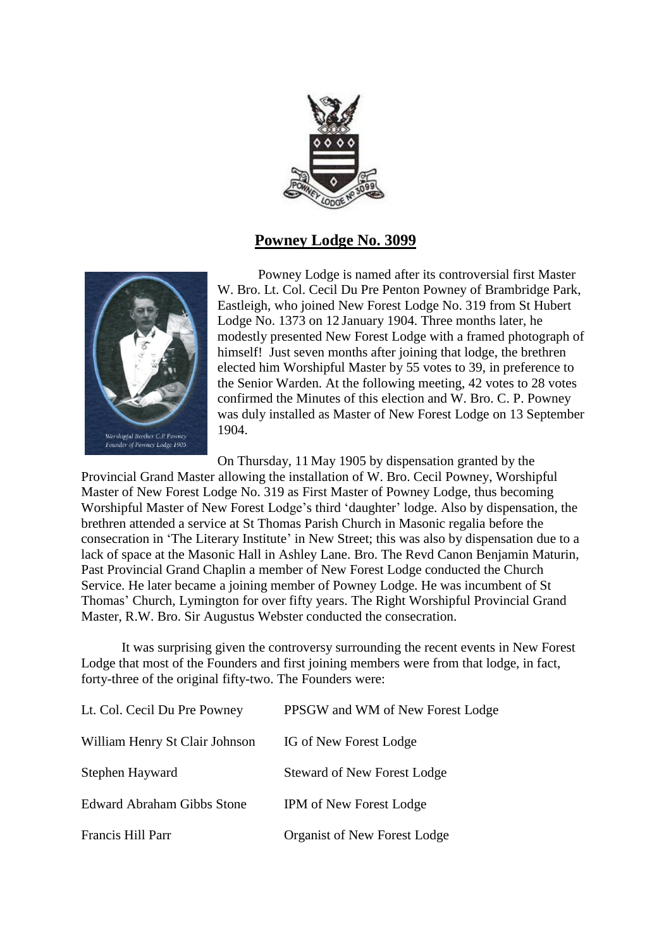

# **Powney Lodge No. 3099**



Powney Lodge is named after its controversial first Master W. Bro. Lt. Col. Cecil Du Pre Penton Powney of Brambridge Park, Eastleigh, who joined New Forest Lodge No. 319 from St Hubert Lodge No. 1373 on 12 January 1904. Three months later, he modestly presented New Forest Lodge with a framed photograph of himself! Just seven months after joining that lodge, the brethren elected him Worshipful Master by 55 votes to 39, in preference to the Senior Warden. At the following meeting, 42 votes to 28 votes confirmed the Minutes of this election and W. Bro. C. P. Powney was duly installed as Master of New Forest Lodge on 13 September 1904.

On Thursday, 11 May 1905 by dispensation granted by the Provincial Grand Master allowing the installation of W. Bro. Cecil Powney, Worshipful Master of New Forest Lodge No. 319 as First Master of Powney Lodge, thus becoming Worshipful Master of New Forest Lodge's third 'daughter' lodge. Also by dispensation, the brethren attended a service at St Thomas Parish Church in Masonic regalia before the consecration in 'The Literary Institute' in New Street; this was also by dispensation due to a lack of space at the Masonic Hall in Ashley Lane. Bro. The Revd Canon Benjamin Maturin, Past Provincial Grand Chaplin a member of New Forest Lodge conducted the Church Service. He later became a joining member of Powney Lodge. He was incumbent of St Thomas' Church, Lymington for over fifty years. The Right Worshipful Provincial Grand Master, R.W. Bro. Sir Augustus Webster conducted the consecration.

It was surprising given the controversy surrounding the recent events in New Forest Lodge that most of the Founders and first joining members were from that lodge, in fact, forty-three of the original fifty-two. The Founders were:

| Lt. Col. Cecil Du Pre Powney      | PPSGW and WM of New Forest Lodge   |
|-----------------------------------|------------------------------------|
| William Henry St Clair Johnson    | IG of New Forest Lodge             |
| Stephen Hayward                   | <b>Steward of New Forest Lodge</b> |
| <b>Edward Abraham Gibbs Stone</b> | <b>IPM</b> of New Forest Lodge     |
| Francis Hill Parr                 | Organist of New Forest Lodge       |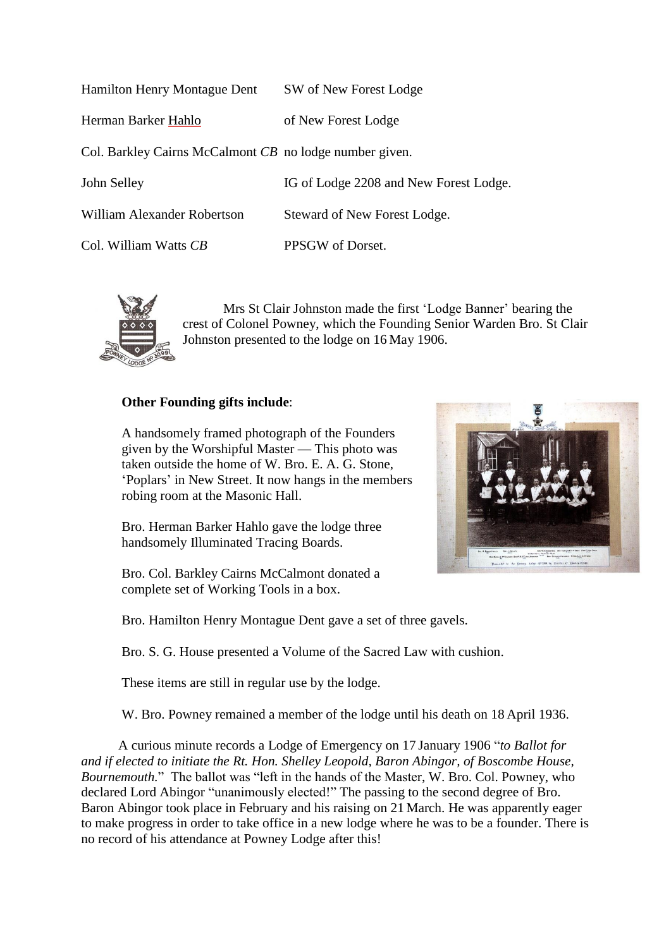| <b>Hamilton Henry Montague Dent</b>                     | SW of New Forest Lodge                 |
|---------------------------------------------------------|----------------------------------------|
| Herman Barker <u>Hahlo</u>                              | of New Forest Lodge                    |
| Col. Barkley Cairns McCalmont CB no lodge number given. |                                        |
| John Selley                                             | IG of Lodge 2208 and New Forest Lodge. |
|                                                         |                                        |

Col. William Watts *CB* PPSGW of Dorset.

William Alexander Robertson Steward of New Forest Lodge.



Mrs St Clair Johnston made the first 'Lodge Banner' bearing the crest of Colonel Powney, which the Founding Senior Warden Bro. St Clair Johnston presented to the lodge on 16 May 1906.

## **Other Founding gifts include**:

A handsomely framed photograph of the Founders given by the Worshipful Master — This photo was taken outside the home of W. Bro. E. A. G. Stone, 'Poplars' in New Street. It now hangs in the members robing room at the Masonic Hall.

Bro. Herman Barker Hahlo gave the lodge three handsomely Illuminated Tracing Boards.

Bro. Col. Barkley Cairns McCalmont donated a complete set of Working Tools in a box.



Bro. Hamilton Henry Montague Dent gave a set of three gavels.

Bro. S. G. House presented a Volume of the Sacred Law with cushion.

These items are still in regular use by the lodge.

W. Bro. Powney remained a member of the lodge until his death on 18 April 1936.

 A curious minute records a Lodge of Emergency on 17 January 1906 "*to Ballot for and if elected to initiate the Rt. Hon. Shelley Leopold, Baron Abingor, of Boscombe House, Bournemouth.*" The ballot was "left in the hands of the Master, W. Bro. Col. Powney, who declared Lord Abingor "unanimously elected!" The passing to the second degree of Bro. Baron Abingor took place in February and his raising on 21 March. He was apparently eager to make progress in order to take office in a new lodge where he was to be a founder. There is no record of his attendance at Powney Lodge after this!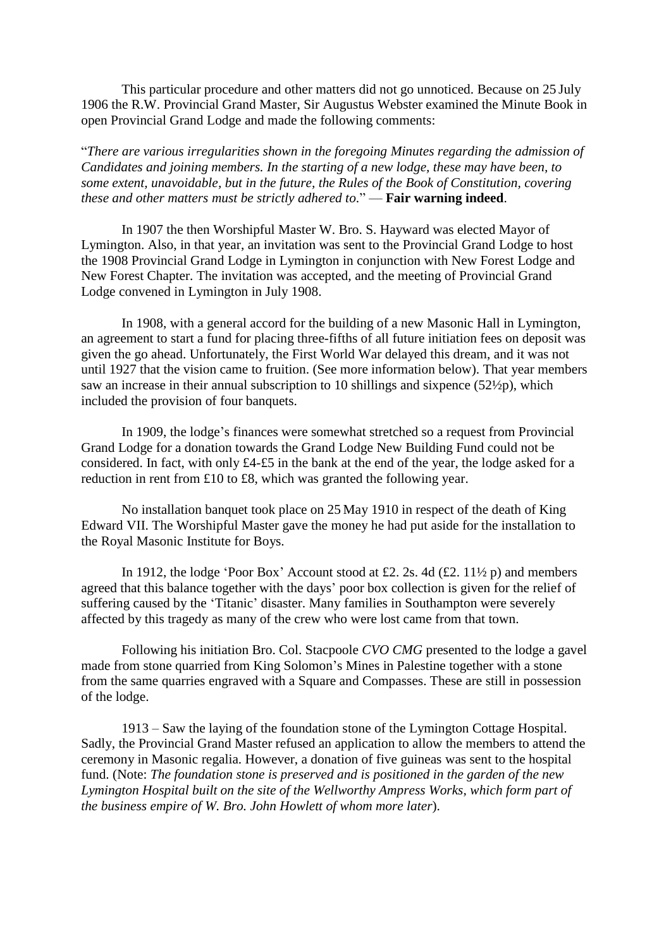This particular procedure and other matters did not go unnoticed. Because on 25 July 1906 the R.W. Provincial Grand Master, Sir Augustus Webster examined the Minute Book in open Provincial Grand Lodge and made the following comments:

"*There are various irregularities shown in the foregoing Minutes regarding the admission of Candidates and joining members. In the starting of a new lodge, these may have been, to some extent, unavoidable, but in the future, the Rules of the Book of Constitution, covering these and other matters must be strictly adhered to.*" — **Fair warning indeed**.

In 1907 the then Worshipful Master W. Bro. S. Hayward was elected Mayor of Lymington. Also, in that year, an invitation was sent to the Provincial Grand Lodge to host the 1908 Provincial Grand Lodge in Lymington in conjunction with New Forest Lodge and New Forest Chapter. The invitation was accepted, and the meeting of Provincial Grand Lodge convened in Lymington in July 1908.

In 1908, with a general accord for the building of a new Masonic Hall in Lymington, an agreement to start a fund for placing three-fifths of all future initiation fees on deposit was given the go ahead. Unfortunately, the First World War delayed this dream, and it was not until 1927 that the vision came to fruition. (See more information below). That year members saw an increase in their annual subscription to 10 shillings and sixpence (52½p), which included the provision of four banquets.

In 1909, the lodge's finances were somewhat stretched so a request from Provincial Grand Lodge for a donation towards the Grand Lodge New Building Fund could not be considered. In fact, with only £4-£5 in the bank at the end of the year, the lodge asked for a reduction in rent from £10 to £8, which was granted the following year.

No installation banquet took place on 25 May 1910 in respect of the death of King Edward VII. The Worshipful Master gave the money he had put aside for the installation to the Royal Masonic Institute for Boys.

In 1912, the lodge 'Poor Box' Account stood at £2. 2s. 4d  $(\text{\textsterling}2. 11\frac{1}{2} p)$  and members agreed that this balance together with the days' poor box collection is given for the relief of suffering caused by the 'Titanic' disaster. Many families in Southampton were severely affected by this tragedy as many of the crew who were lost came from that town.

Following his initiation Bro. Col. Stacpoole *CVO CMG* presented to the lodge a gavel made from stone quarried from King Solomon's Mines in Palestine together with a stone from the same quarries engraved with a Square and Compasses. These are still in possession of the lodge.

1913 – Saw the laying of the foundation stone of the Lymington Cottage Hospital. Sadly, the Provincial Grand Master refused an application to allow the members to attend the ceremony in Masonic regalia. However, a donation of five guineas was sent to the hospital fund. (Note: *The foundation stone is preserved and is positioned in the garden of the new Lymington Hospital built on the site of the Wellworthy Ampress Works, which form part of the business empire of W. Bro. John Howlett of whom more later*).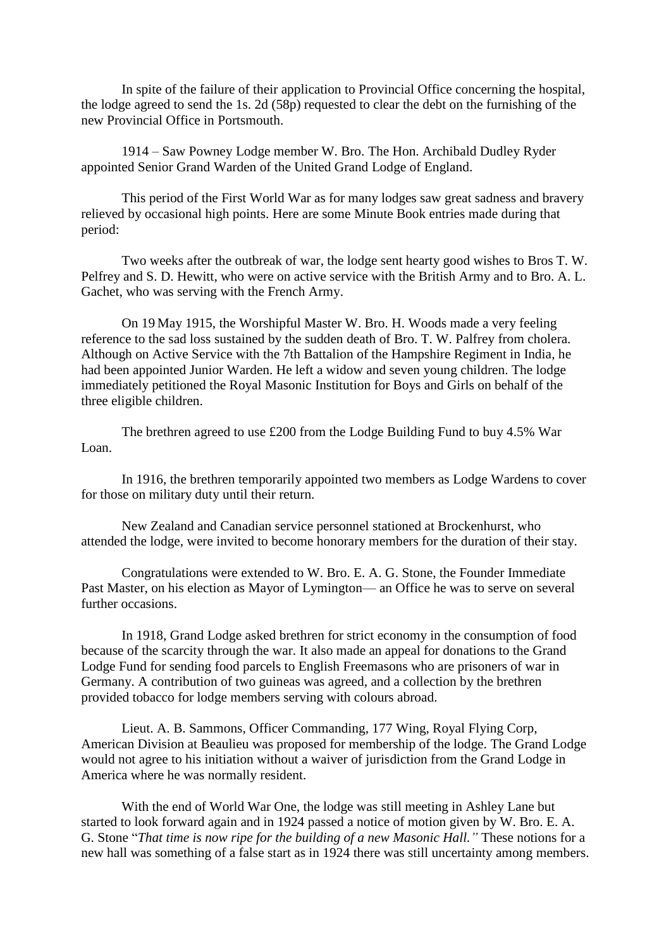In spite of the failure of their application to Provincial Office concerning the hospital, the lodge agreed to send the 1s. 2d (58p) requested to clear the debt on the furnishing of the new Provincial Office in Portsmouth.

1914 – Saw Powney Lodge member W. Bro. The Hon. Archibald Dudley Ryder appointed Senior Grand Warden of the United Grand Lodge of England.

This period of the First World War as for many lodges saw great sadness and bravery relieved by occasional high points. Here are some Minute Book entries made during that period:

Two weeks after the outbreak of war, the lodge sent hearty good wishes to Bros T. W. Pelfrey and S. D. Hewitt, who were on active service with the British Army and to Bro. A. L. Gachet, who was serving with the French Army.

On 19 May 1915, the Worshipful Master W. Bro. H. Woods made a very feeling reference to the sad loss sustained by the sudden death of Bro. T. W. Palfrey from cholera. Although on Active Service with the 7th Battalion of the Hampshire Regiment in India, he had been appointed Junior Warden. He left a widow and seven young children. The lodge immediately petitioned the Royal Masonic Institution for Boys and Girls on behalf of the three eligible children.

The brethren agreed to use £200 from the Lodge Building Fund to buy 4.5% War Loan.

In 1916, the brethren temporarily appointed two members as Lodge Wardens to cover for those on military duty until their return.

New Zealand and Canadian service personnel stationed at Brockenhurst, who attended the lodge, were invited to become honorary members for the duration of their stay.

Congratulations were extended to W. Bro. E. A. G. Stone, the Founder Immediate Past Master, on his election as Mayor of Lymington— an Office he was to serve on several further occasions.

In 1918, Grand Lodge asked brethren for strict economy in the consumption of food because of the scarcity through the war. It also made an appeal for donations to the Grand Lodge Fund for sending food parcels to English Freemasons who are prisoners of war in Germany. A contribution of two guineas was agreed, and a collection by the brethren provided tobacco for lodge members serving with colours abroad.

Lieut. A. B. Sammons, Officer Commanding, 177 Wing, Royal Flying Corp, American Division at Beaulieu was proposed for membership of the lodge. The Grand Lodge would not agree to his initiation without a waiver of jurisdiction from the Grand Lodge in America where he was normally resident.

With the end of World War One, the lodge was still meeting in Ashley Lane but started to look forward again and in 1924 passed a notice of motion given by W. Bro. E. A. G. Stone "*That time is now ripe for the building of a new Masonic Hall."* These notions for a new hall was something of a false start as in 1924 there was still uncertainty among members.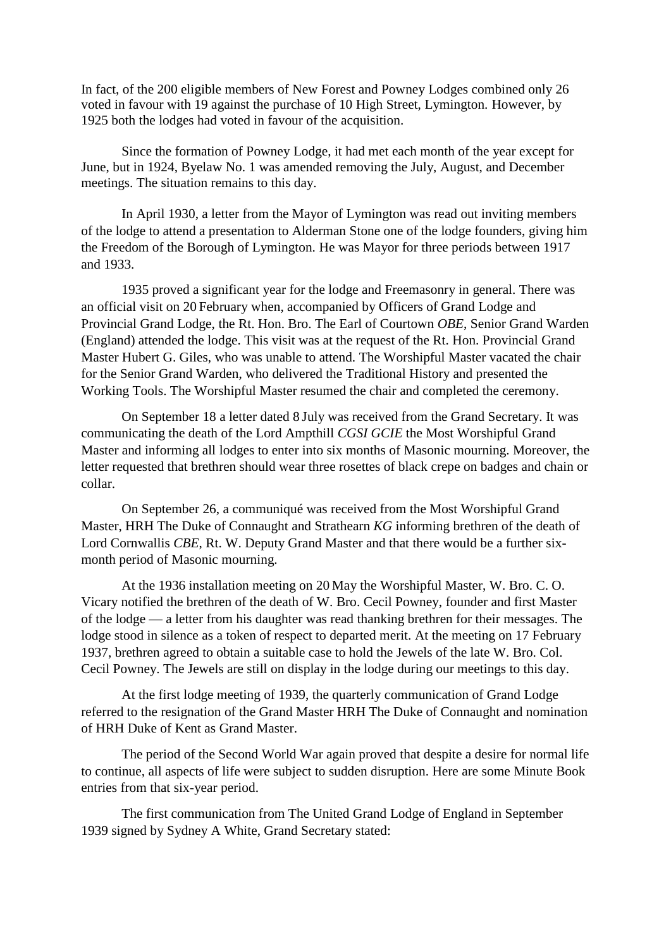In fact, of the 200 eligible members of New Forest and Powney Lodges combined only 26 voted in favour with 19 against the purchase of 10 High Street, Lymington. However, by 1925 both the lodges had voted in favour of the acquisition.

Since the formation of Powney Lodge, it had met each month of the year except for June, but in 1924, Byelaw No. 1 was amended removing the July, August, and December meetings. The situation remains to this day.

In April 1930, a letter from the Mayor of Lymington was read out inviting members of the lodge to attend a presentation to Alderman Stone one of the lodge founders, giving him the Freedom of the Borough of Lymington. He was Mayor for three periods between 1917 and 1933.

1935 proved a significant year for the lodge and Freemasonry in general. There was an official visit on 20 February when, accompanied by Officers of Grand Lodge and Provincial Grand Lodge, the Rt. Hon. Bro. The Earl of Courtown *OBE*, Senior Grand Warden (England) attended the lodge. This visit was at the request of the Rt. Hon. Provincial Grand Master Hubert G. Giles, who was unable to attend. The Worshipful Master vacated the chair for the Senior Grand Warden, who delivered the Traditional History and presented the Working Tools. The Worshipful Master resumed the chair and completed the ceremony.

On September 18 a letter dated 8 July was received from the Grand Secretary. It was communicating the death of the Lord Ampthill *CGSI GCIE* the Most Worshipful Grand Master and informing all lodges to enter into six months of Masonic mourning. Moreover, the letter requested that brethren should wear three rosettes of black crepe on badges and chain or collar.

On September 26, a communiqué was received from the Most Worshipful Grand Master, HRH The Duke of Connaught and Strathearn *KG* informing brethren of the death of Lord Cornwallis *CBE*, Rt. W. Deputy Grand Master and that there would be a further sixmonth period of Masonic mourning.

At the 1936 installation meeting on 20 May the Worshipful Master, W. Bro. C. O. Vicary notified the brethren of the death of W. Bro. Cecil Powney, founder and first Master of the lodge — a letter from his daughter was read thanking brethren for their messages. The lodge stood in silence as a token of respect to departed merit. At the meeting on 17 February 1937, brethren agreed to obtain a suitable case to hold the Jewels of the late W. Bro. Col. Cecil Powney. The Jewels are still on display in the lodge during our meetings to this day.

At the first lodge meeting of 1939, the quarterly communication of Grand Lodge referred to the resignation of the Grand Master HRH The Duke of Connaught and nomination of HRH Duke of Kent as Grand Master.

The period of the Second World War again proved that despite a desire for normal life to continue, all aspects of life were subject to sudden disruption. Here are some Minute Book entries from that six-year period.

The first communication from The United Grand Lodge of England in September 1939 signed by Sydney A White, Grand Secretary stated: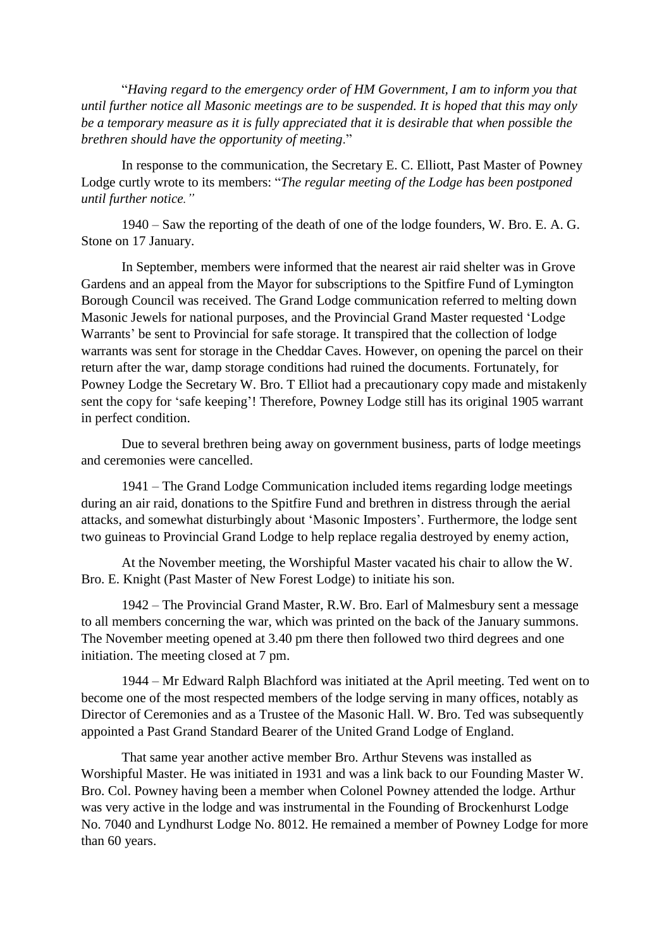"*Having regard to the emergency order of HM Government, I am to inform you that until further notice all Masonic meetings are to be suspended. It is hoped that this may only be a temporary measure as it is fully appreciated that it is desirable that when possible the brethren should have the opportunity of meeting*."

In response to the communication, the Secretary E. C. Elliott, Past Master of Powney Lodge curtly wrote to its members: "*The regular meeting of the Lodge has been postponed until further notice."*

1940 – Saw the reporting of the death of one of the lodge founders, W. Bro. E. A. G. Stone on 17 January.

In September, members were informed that the nearest air raid shelter was in Grove Gardens and an appeal from the Mayor for subscriptions to the Spitfire Fund of Lymington Borough Council was received. The Grand Lodge communication referred to melting down Masonic Jewels for national purposes, and the Provincial Grand Master requested 'Lodge Warrants' be sent to Provincial for safe storage. It transpired that the collection of lodge warrants was sent for storage in the Cheddar Caves. However, on opening the parcel on their return after the war, damp storage conditions had ruined the documents. Fortunately, for Powney Lodge the Secretary W. Bro. T Elliot had a precautionary copy made and mistakenly sent the copy for 'safe keeping'! Therefore, Powney Lodge still has its original 1905 warrant in perfect condition.

Due to several brethren being away on government business, parts of lodge meetings and ceremonies were cancelled.

1941 – The Grand Lodge Communication included items regarding lodge meetings during an air raid, donations to the Spitfire Fund and brethren in distress through the aerial attacks, and somewhat disturbingly about 'Masonic Imposters'. Furthermore, the lodge sent two guineas to Provincial Grand Lodge to help replace regalia destroyed by enemy action,

At the November meeting, the Worshipful Master vacated his chair to allow the W. Bro. E. Knight (Past Master of New Forest Lodge) to initiate his son.

1942 – The Provincial Grand Master, R.W. Bro. Earl of Malmesbury sent a message to all members concerning the war, which was printed on the back of the January summons. The November meeting opened at 3.40 pm there then followed two third degrees and one initiation. The meeting closed at 7 pm.

1944 – Mr Edward Ralph Blachford was initiated at the April meeting. Ted went on to become one of the most respected members of the lodge serving in many offices, notably as Director of Ceremonies and as a Trustee of the Masonic Hall. W. Bro. Ted was subsequently appointed a Past Grand Standard Bearer of the United Grand Lodge of England.

That same year another active member Bro. Arthur Stevens was installed as Worshipful Master. He was initiated in 1931 and was a link back to our Founding Master W. Bro. Col. Powney having been a member when Colonel Powney attended the lodge. Arthur was very active in the lodge and was instrumental in the Founding of Brockenhurst Lodge No. 7040 and Lyndhurst Lodge No. 8012. He remained a member of Powney Lodge for more than 60 years.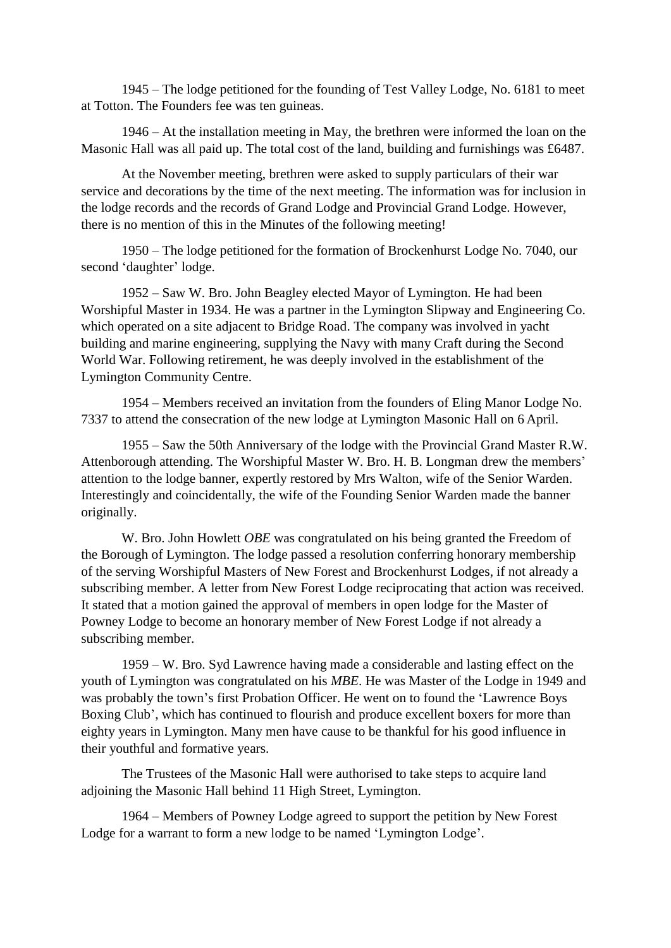1945 – The lodge petitioned for the founding of Test Valley Lodge, No. 6181 to meet at Totton. The Founders fee was ten guineas.

1946 – At the installation meeting in May, the brethren were informed the loan on the Masonic Hall was all paid up. The total cost of the land, building and furnishings was £6487.

At the November meeting, brethren were asked to supply particulars of their war service and decorations by the time of the next meeting. The information was for inclusion in the lodge records and the records of Grand Lodge and Provincial Grand Lodge. However, there is no mention of this in the Minutes of the following meeting!

1950 – The lodge petitioned for the formation of Brockenhurst Lodge No. 7040, our second 'daughter' lodge.

1952 – Saw W. Bro. John Beagley elected Mayor of Lymington. He had been Worshipful Master in 1934. He was a partner in the Lymington Slipway and Engineering Co. which operated on a site adjacent to Bridge Road. The company was involved in yacht building and marine engineering, supplying the Navy with many Craft during the Second World War. Following retirement, he was deeply involved in the establishment of the Lymington Community Centre.

1954 – Members received an invitation from the founders of Eling Manor Lodge No. 7337 to attend the consecration of the new lodge at Lymington Masonic Hall on 6 April.

1955 – Saw the 50th Anniversary of the lodge with the Provincial Grand Master R.W. Attenborough attending. The Worshipful Master W. Bro. H. B. Longman drew the members' attention to the lodge banner, expertly restored by Mrs Walton, wife of the Senior Warden. Interestingly and coincidentally, the wife of the Founding Senior Warden made the banner originally.

W. Bro. John Howlett *OBE* was congratulated on his being granted the Freedom of the Borough of Lymington. The lodge passed a resolution conferring honorary membership of the serving Worshipful Masters of New Forest and Brockenhurst Lodges, if not already a subscribing member. A letter from New Forest Lodge reciprocating that action was received. It stated that a motion gained the approval of members in open lodge for the Master of Powney Lodge to become an honorary member of New Forest Lodge if not already a subscribing member.

1959 – W. Bro. Syd Lawrence having made a considerable and lasting effect on the youth of Lymington was congratulated on his *MBE*. He was Master of the Lodge in 1949 and was probably the town's first Probation Officer. He went on to found the 'Lawrence Boys Boxing Club', which has continued to flourish and produce excellent boxers for more than eighty years in Lymington. Many men have cause to be thankful for his good influence in their youthful and formative years.

The Trustees of the Masonic Hall were authorised to take steps to acquire land adjoining the Masonic Hall behind 11 High Street, Lymington.

1964 – Members of Powney Lodge agreed to support the petition by New Forest Lodge for a warrant to form a new lodge to be named 'Lymington Lodge'.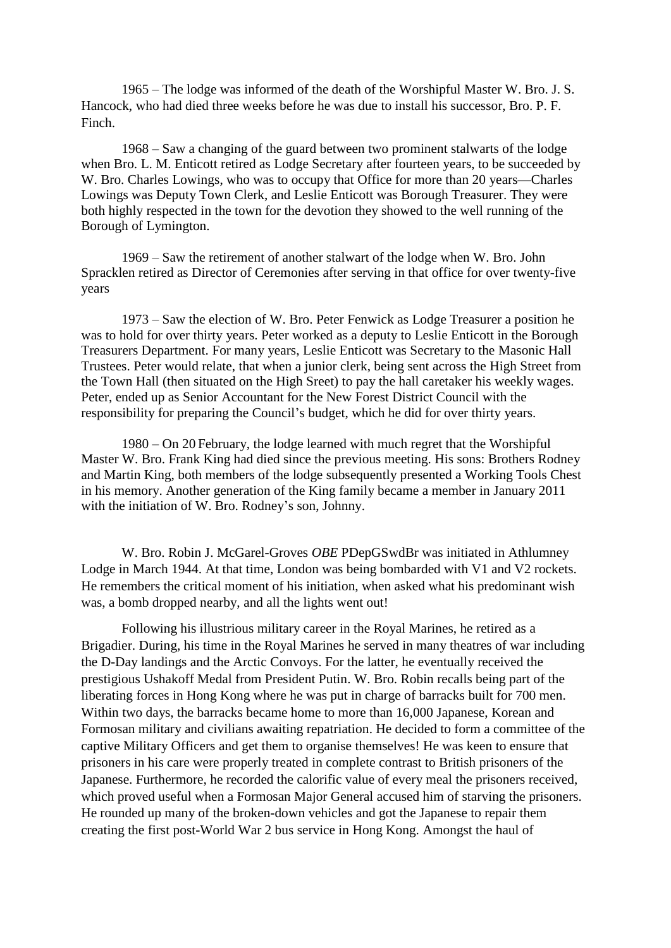1965 – The lodge was informed of the death of the Worshipful Master W. Bro. J. S. Hancock, who had died three weeks before he was due to install his successor, Bro. P. F. Finch.

1968 – Saw a changing of the guard between two prominent stalwarts of the lodge when Bro. L. M. Enticott retired as Lodge Secretary after fourteen years, to be succeeded by W. Bro. Charles Lowings, who was to occupy that Office for more than 20 years—Charles Lowings was Deputy Town Clerk, and Leslie Enticott was Borough Treasurer. They were both highly respected in the town for the devotion they showed to the well running of the Borough of Lymington.

1969 – Saw the retirement of another stalwart of the lodge when W. Bro. John Spracklen retired as Director of Ceremonies after serving in that office for over twenty-five years

1973 – Saw the election of W. Bro. Peter Fenwick as Lodge Treasurer a position he was to hold for over thirty years. Peter worked as a deputy to Leslie Enticott in the Borough Treasurers Department. For many years, Leslie Enticott was Secretary to the Masonic Hall Trustees. Peter would relate, that when a junior clerk, being sent across the High Street from the Town Hall (then situated on the High Sreet) to pay the hall caretaker his weekly wages. Peter, ended up as Senior Accountant for the New Forest District Council with the responsibility for preparing the Council's budget, which he did for over thirty years.

1980 – On 20 February, the lodge learned with much regret that the Worshipful Master W. Bro. Frank King had died since the previous meeting. His sons: Brothers Rodney and Martin King, both members of the lodge subsequently presented a Working Tools Chest in his memory. Another generation of the King family became a member in January 2011 with the initiation of W. Bro. Rodney's son, Johnny.

W. Bro. Robin J. McGarel-Groves *OBE* PDepGSwdBr was initiated in Athlumney Lodge in March 1944. At that time, London was being bombarded with V1 and V2 rockets. He remembers the critical moment of his initiation, when asked what his predominant wish was, a bomb dropped nearby, and all the lights went out!

Following his illustrious military career in the Royal Marines, he retired as a Brigadier. During, his time in the Royal Marines he served in many theatres of war including the D-Day landings and the Arctic Convoys. For the latter, he eventually received the prestigious Ushakoff Medal from President Putin. W. Bro. Robin recalls being part of the liberating forces in Hong Kong where he was put in charge of barracks built for 700 men. Within two days, the barracks became home to more than 16,000 Japanese, Korean and Formosan military and civilians awaiting repatriation. He decided to form a committee of the captive Military Officers and get them to organise themselves! He was keen to ensure that prisoners in his care were properly treated in complete contrast to British prisoners of the Japanese. Furthermore, he recorded the calorific value of every meal the prisoners received, which proved useful when a Formosan Major General accused him of starving the prisoners. He rounded up many of the broken-down vehicles and got the Japanese to repair them creating the first post-World War 2 bus service in Hong Kong. Amongst the haul of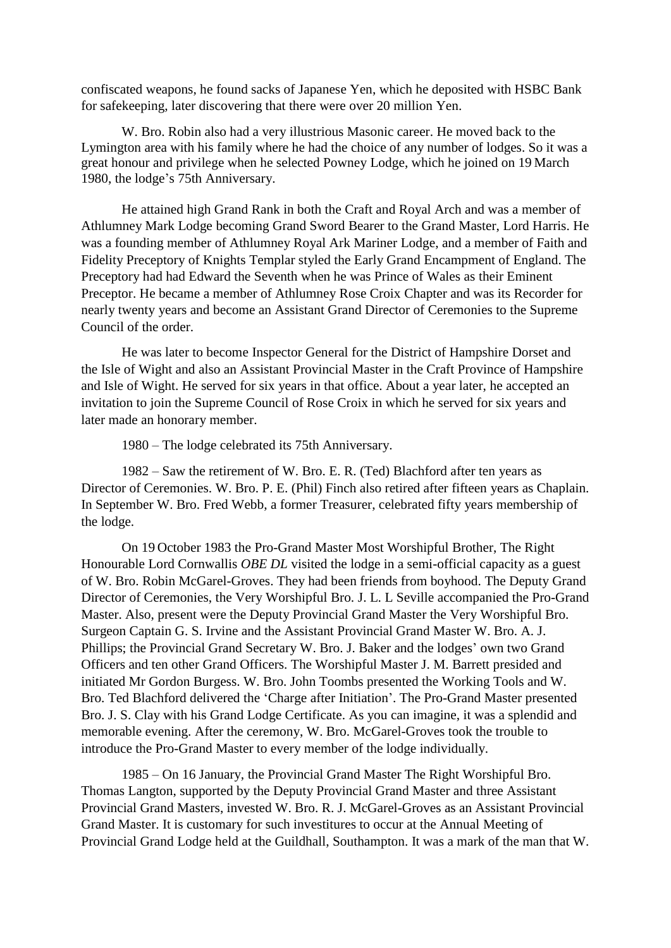confiscated weapons, he found sacks of Japanese Yen, which he deposited with HSBC Bank for safekeeping, later discovering that there were over 20 million Yen.

W. Bro. Robin also had a very illustrious Masonic career. He moved back to the Lymington area with his family where he had the choice of any number of lodges. So it was a great honour and privilege when he selected Powney Lodge, which he joined on 19 March 1980, the lodge's 75th Anniversary.

He attained high Grand Rank in both the Craft and Royal Arch and was a member of Athlumney Mark Lodge becoming Grand Sword Bearer to the Grand Master, Lord Harris. He was a founding member of Athlumney Royal Ark Mariner Lodge, and a member of Faith and Fidelity Preceptory of Knights Templar styled the Early Grand Encampment of England. The Preceptory had had Edward the Seventh when he was Prince of Wales as their Eminent Preceptor. He became a member of Athlumney Rose Croix Chapter and was its Recorder for nearly twenty years and become an Assistant Grand Director of Ceremonies to the Supreme Council of the order.

He was later to become Inspector General for the District of Hampshire Dorset and the Isle of Wight and also an Assistant Provincial Master in the Craft Province of Hampshire and Isle of Wight. He served for six years in that office. About a year later, he accepted an invitation to join the Supreme Council of Rose Croix in which he served for six years and later made an honorary member.

1980 – The lodge celebrated its 75th Anniversary.

1982 – Saw the retirement of W. Bro. E. R. (Ted) Blachford after ten years as Director of Ceremonies. W. Bro. P. E. (Phil) Finch also retired after fifteen years as Chaplain. In September W. Bro. Fred Webb, a former Treasurer, celebrated fifty years membership of the lodge.

On 19 October 1983 the Pro-Grand Master Most Worshipful Brother, The Right Honourable Lord Cornwallis *OBE DL* visited the lodge in a semi-official capacity as a guest of W. Bro. Robin McGarel-Groves. They had been friends from boyhood. The Deputy Grand Director of Ceremonies, the Very Worshipful Bro. J. L. L Seville accompanied the Pro-Grand Master. Also, present were the Deputy Provincial Grand Master the Very Worshipful Bro. Surgeon Captain G. S. Irvine and the Assistant Provincial Grand Master W. Bro. A. J. Phillips; the Provincial Grand Secretary W. Bro. J. Baker and the lodges' own two Grand Officers and ten other Grand Officers. The Worshipful Master J. M. Barrett presided and initiated Mr Gordon Burgess. W. Bro. John Toombs presented the Working Tools and W. Bro. Ted Blachford delivered the 'Charge after Initiation'. The Pro-Grand Master presented Bro. J. S. Clay with his Grand Lodge Certificate. As you can imagine, it was a splendid and memorable evening. After the ceremony, W. Bro. McGarel-Groves took the trouble to introduce the Pro-Grand Master to every member of the lodge individually.

1985 – On 16 January, the Provincial Grand Master The Right Worshipful Bro. Thomas Langton, supported by the Deputy Provincial Grand Master and three Assistant Provincial Grand Masters, invested W. Bro. R. J. McGarel-Groves as an Assistant Provincial Grand Master. It is customary for such investitures to occur at the Annual Meeting of Provincial Grand Lodge held at the Guildhall, Southampton. It was a mark of the man that W.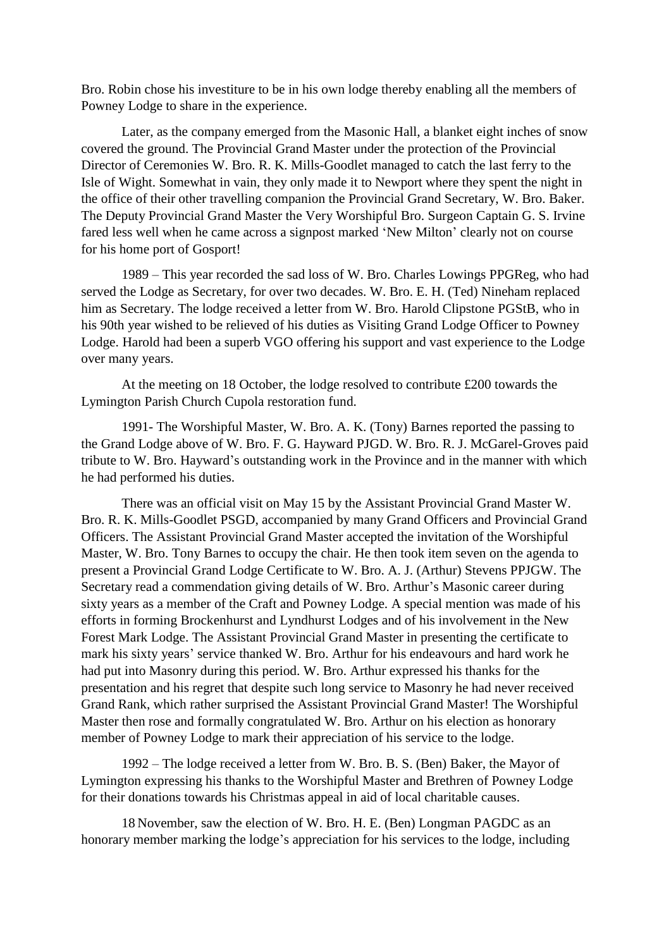Bro. Robin chose his investiture to be in his own lodge thereby enabling all the members of Powney Lodge to share in the experience.

Later, as the company emerged from the Masonic Hall, a blanket eight inches of snow covered the ground. The Provincial Grand Master under the protection of the Provincial Director of Ceremonies W. Bro. R. K. Mills-Goodlet managed to catch the last ferry to the Isle of Wight. Somewhat in vain, they only made it to Newport where they spent the night in the office of their other travelling companion the Provincial Grand Secretary, W. Bro. Baker. The Deputy Provincial Grand Master the Very Worshipful Bro. Surgeon Captain G. S. Irvine fared less well when he came across a signpost marked 'New Milton' clearly not on course for his home port of Gosport!

1989 – This year recorded the sad loss of W. Bro. Charles Lowings PPGReg, who had served the Lodge as Secretary, for over two decades. W. Bro. E. H. (Ted) Nineham replaced him as Secretary. The lodge received a letter from W. Bro. Harold Clipstone PGStB, who in his 90th year wished to be relieved of his duties as Visiting Grand Lodge Officer to Powney Lodge. Harold had been a superb VGO offering his support and vast experience to the Lodge over many years.

At the meeting on 18 October, the lodge resolved to contribute £200 towards the Lymington Parish Church Cupola restoration fund.

1991- The Worshipful Master, W. Bro. A. K. (Tony) Barnes reported the passing to the Grand Lodge above of W. Bro. F. G. Hayward PJGD. W. Bro. R. J. McGarel-Groves paid tribute to W. Bro. Hayward's outstanding work in the Province and in the manner with which he had performed his duties.

There was an official visit on May 15 by the Assistant Provincial Grand Master W. Bro. R. K. Mills-Goodlet PSGD, accompanied by many Grand Officers and Provincial Grand Officers. The Assistant Provincial Grand Master accepted the invitation of the Worshipful Master, W. Bro. Tony Barnes to occupy the chair. He then took item seven on the agenda to present a Provincial Grand Lodge Certificate to W. Bro. A. J. (Arthur) Stevens PPJGW. The Secretary read a commendation giving details of W. Bro. Arthur's Masonic career during sixty years as a member of the Craft and Powney Lodge. A special mention was made of his efforts in forming Brockenhurst and Lyndhurst Lodges and of his involvement in the New Forest Mark Lodge. The Assistant Provincial Grand Master in presenting the certificate to mark his sixty years' service thanked W. Bro. Arthur for his endeavours and hard work he had put into Masonry during this period. W. Bro. Arthur expressed his thanks for the presentation and his regret that despite such long service to Masonry he had never received Grand Rank, which rather surprised the Assistant Provincial Grand Master! The Worshipful Master then rose and formally congratulated W. Bro. Arthur on his election as honorary member of Powney Lodge to mark their appreciation of his service to the lodge.

1992 – The lodge received a letter from W. Bro. B. S. (Ben) Baker, the Mayor of Lymington expressing his thanks to the Worshipful Master and Brethren of Powney Lodge for their donations towards his Christmas appeal in aid of local charitable causes.

18 November, saw the election of W. Bro. H. E. (Ben) Longman PAGDC as an honorary member marking the lodge's appreciation for his services to the lodge, including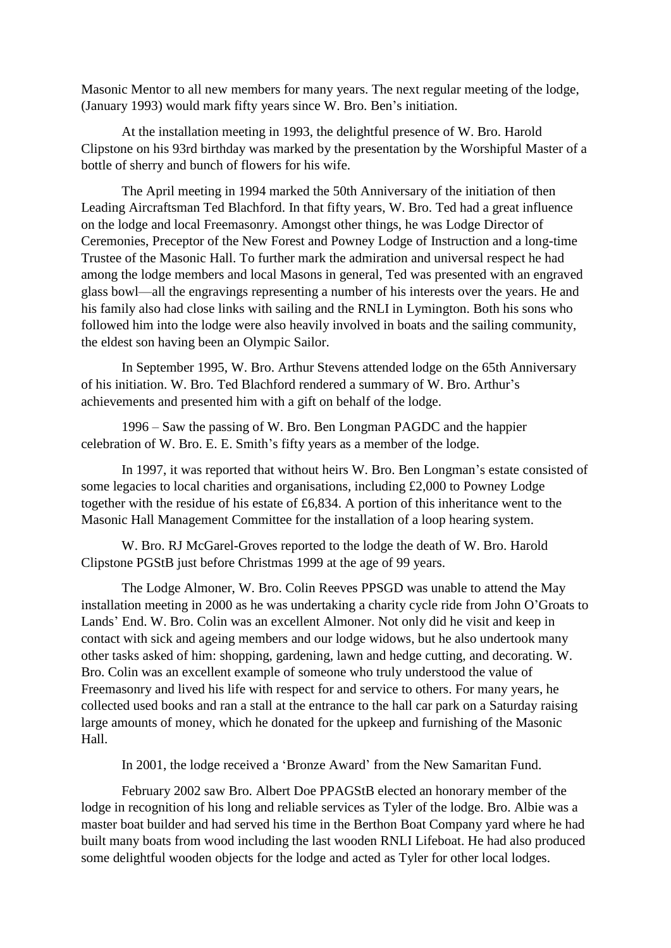Masonic Mentor to all new members for many years. The next regular meeting of the lodge, (January 1993) would mark fifty years since W. Bro. Ben's initiation.

At the installation meeting in 1993, the delightful presence of W. Bro. Harold Clipstone on his 93rd birthday was marked by the presentation by the Worshipful Master of a bottle of sherry and bunch of flowers for his wife.

The April meeting in 1994 marked the 50th Anniversary of the initiation of then Leading Aircraftsman Ted Blachford. In that fifty years, W. Bro. Ted had a great influence on the lodge and local Freemasonry. Amongst other things, he was Lodge Director of Ceremonies, Preceptor of the New Forest and Powney Lodge of Instruction and a long-time Trustee of the Masonic Hall. To further mark the admiration and universal respect he had among the lodge members and local Masons in general, Ted was presented with an engraved glass bowl—all the engravings representing a number of his interests over the years. He and his family also had close links with sailing and the RNLI in Lymington. Both his sons who followed him into the lodge were also heavily involved in boats and the sailing community, the eldest son having been an Olympic Sailor.

In September 1995, W. Bro. Arthur Stevens attended lodge on the 65th Anniversary of his initiation. W. Bro. Ted Blachford rendered a summary of W. Bro. Arthur's achievements and presented him with a gift on behalf of the lodge.

1996 – Saw the passing of W. Bro. Ben Longman PAGDC and the happier celebration of W. Bro. E. E. Smith's fifty years as a member of the lodge.

In 1997, it was reported that without heirs W. Bro. Ben Longman's estate consisted of some legacies to local charities and organisations, including £2,000 to Powney Lodge together with the residue of his estate of £6,834. A portion of this inheritance went to the Masonic Hall Management Committee for the installation of a loop hearing system.

W. Bro. RJ McGarel-Groves reported to the lodge the death of W. Bro. Harold Clipstone PGStB just before Christmas 1999 at the age of 99 years.

The Lodge Almoner, W. Bro. Colin Reeves PPSGD was unable to attend the May installation meeting in 2000 as he was undertaking a charity cycle ride from John O'Groats to Lands' End. W. Bro. Colin was an excellent Almoner. Not only did he visit and keep in contact with sick and ageing members and our lodge widows, but he also undertook many other tasks asked of him: shopping, gardening, lawn and hedge cutting, and decorating. W. Bro. Colin was an excellent example of someone who truly understood the value of Freemasonry and lived his life with respect for and service to others. For many years, he collected used books and ran a stall at the entrance to the hall car park on a Saturday raising large amounts of money, which he donated for the upkeep and furnishing of the Masonic Hall.

In 2001, the lodge received a 'Bronze Award' from the New Samaritan Fund.

February 2002 saw Bro. Albert Doe PPAGStB elected an honorary member of the lodge in recognition of his long and reliable services as Tyler of the lodge. Bro. Albie was a master boat builder and had served his time in the Berthon Boat Company yard where he had built many boats from wood including the last wooden RNLI Lifeboat. He had also produced some delightful wooden objects for the lodge and acted as Tyler for other local lodges.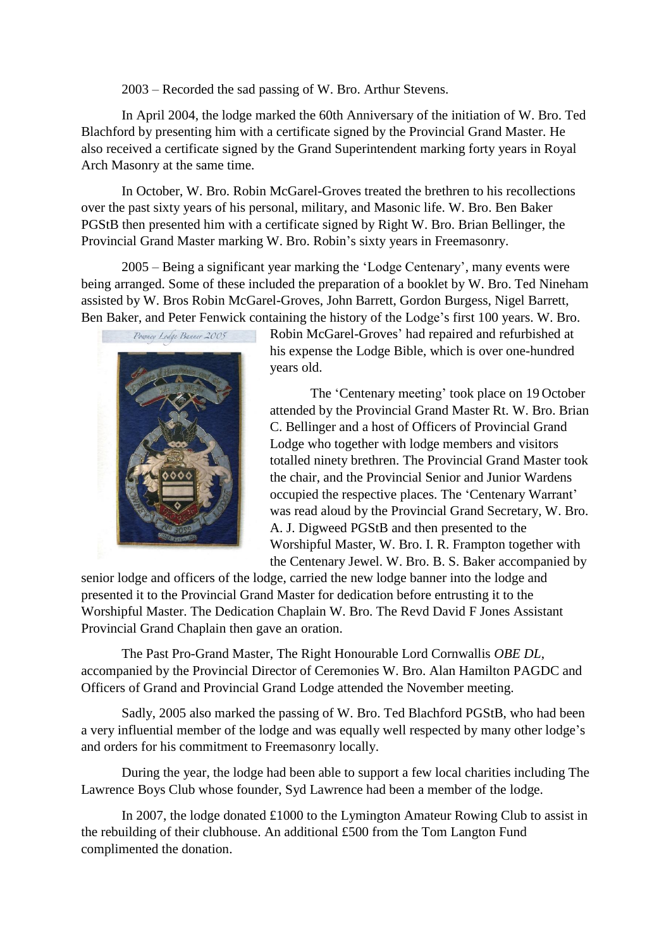### 2003 – Recorded the sad passing of W. Bro. Arthur Stevens.

In April 2004, the lodge marked the 60th Anniversary of the initiation of W. Bro. Ted Blachford by presenting him with a certificate signed by the Provincial Grand Master. He also received a certificate signed by the Grand Superintendent marking forty years in Royal Arch Masonry at the same time.

In October, W. Bro. Robin McGarel-Groves treated the brethren to his recollections over the past sixty years of his personal, military, and Masonic life. W. Bro. Ben Baker PGStB then presented him with a certificate signed by Right W. Bro. Brian Bellinger, the Provincial Grand Master marking W. Bro. Robin's sixty years in Freemasonry.

2005 – Being a significant year marking the 'Lodge Centenary', many events were being arranged. Some of these included the preparation of a booklet by W. Bro. Ted Nineham assisted by W. Bros Robin McGarel-Groves, John Barrett, Gordon Burgess, Nigel Barrett, Ben Baker, and Peter Fenwick containing the history of the Lodge's first 100 years. W. Bro.



Robin McGarel-Groves' had repaired and refurbished at his expense the Lodge Bible, which is over one-hundred years old.

The 'Centenary meeting' took place on 19 October attended by the Provincial Grand Master Rt. W. Bro. Brian C. Bellinger and a host of Officers of Provincial Grand Lodge who together with lodge members and visitors totalled ninety brethren. The Provincial Grand Master took the chair, and the Provincial Senior and Junior Wardens occupied the respective places. The 'Centenary Warrant' was read aloud by the Provincial Grand Secretary, W. Bro. A. J. Digweed PGStB and then presented to the Worshipful Master, W. Bro. I. R. Frampton together with the Centenary Jewel. W. Bro. B. S. Baker accompanied by

senior lodge and officers of the lodge, carried the new lodge banner into the lodge and presented it to the Provincial Grand Master for dedication before entrusting it to the Worshipful Master. The Dedication Chaplain W. Bro. The Revd David F Jones Assistant Provincial Grand Chaplain then gave an oration.

The Past Pro-Grand Master, The Right Honourable Lord Cornwallis *OBE DL*, accompanied by the Provincial Director of Ceremonies W. Bro. Alan Hamilton PAGDC and Officers of Grand and Provincial Grand Lodge attended the November meeting.

Sadly, 2005 also marked the passing of W. Bro. Ted Blachford PGStB, who had been a very influential member of the lodge and was equally well respected by many other lodge's and orders for his commitment to Freemasonry locally.

During the year, the lodge had been able to support a few local charities including The Lawrence Boys Club whose founder, Syd Lawrence had been a member of the lodge.

In 2007, the lodge donated £1000 to the Lymington Amateur Rowing Club to assist in the rebuilding of their clubhouse. An additional £500 from the Tom Langton Fund complimented the donation.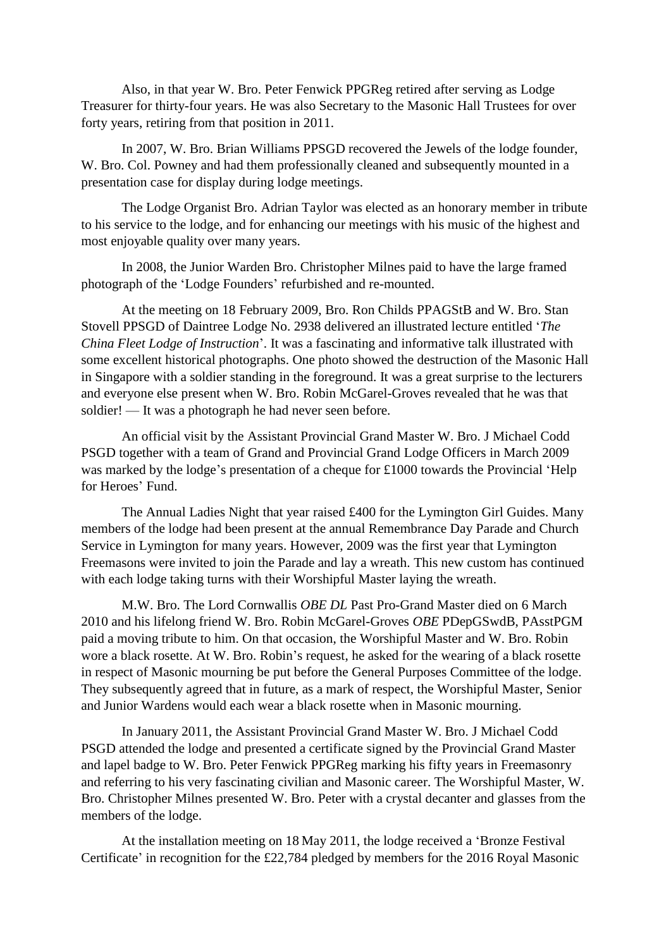Also, in that year W. Bro. Peter Fenwick PPGReg retired after serving as Lodge Treasurer for thirty-four years. He was also Secretary to the Masonic Hall Trustees for over forty years, retiring from that position in 2011.

In 2007, W. Bro. Brian Williams PPSGD recovered the Jewels of the lodge founder, W. Bro. Col. Powney and had them professionally cleaned and subsequently mounted in a presentation case for display during lodge meetings.

The Lodge Organist Bro. Adrian Taylor was elected as an honorary member in tribute to his service to the lodge, and for enhancing our meetings with his music of the highest and most enjoyable quality over many years.

In 2008, the Junior Warden Bro. Christopher Milnes paid to have the large framed photograph of the 'Lodge Founders' refurbished and re-mounted.

At the meeting on 18 February 2009, Bro. Ron Childs PPAGStB and W. Bro. Stan Stovell PPSGD of Daintree Lodge No. 2938 delivered an illustrated lecture entitled '*The China Fleet Lodge of Instruction*'. It was a fascinating and informative talk illustrated with some excellent historical photographs. One photo showed the destruction of the Masonic Hall in Singapore with a soldier standing in the foreground. It was a great surprise to the lecturers and everyone else present when W. Bro. Robin McGarel-Groves revealed that he was that soldier! — It was a photograph he had never seen before.

An official visit by the Assistant Provincial Grand Master W. Bro. J Michael Codd PSGD together with a team of Grand and Provincial Grand Lodge Officers in March 2009 was marked by the lodge's presentation of a cheque for £1000 towards the Provincial 'Help for Heroes' Fund.

The Annual Ladies Night that year raised £400 for the Lymington Girl Guides. Many members of the lodge had been present at the annual Remembrance Day Parade and Church Service in Lymington for many years. However, 2009 was the first year that Lymington Freemasons were invited to join the Parade and lay a wreath. This new custom has continued with each lodge taking turns with their Worshipful Master laying the wreath.

M.W. Bro. The Lord Cornwallis *OBE DL* Past Pro-Grand Master died on 6 March 2010 and his lifelong friend W. Bro. Robin McGarel-Groves *OBE* PDepGSwdB, PAsstPGM paid a moving tribute to him. On that occasion, the Worshipful Master and W. Bro. Robin wore a black rosette. At W. Bro. Robin's request, he asked for the wearing of a black rosette in respect of Masonic mourning be put before the General Purposes Committee of the lodge. They subsequently agreed that in future, as a mark of respect, the Worshipful Master, Senior and Junior Wardens would each wear a black rosette when in Masonic mourning.

In January 2011, the Assistant Provincial Grand Master W. Bro. J Michael Codd PSGD attended the lodge and presented a certificate signed by the Provincial Grand Master and lapel badge to W. Bro. Peter Fenwick PPGReg marking his fifty years in Freemasonry and referring to his very fascinating civilian and Masonic career. The Worshipful Master, W. Bro. Christopher Milnes presented W. Bro. Peter with a crystal decanter and glasses from the members of the lodge.

At the installation meeting on 18 May 2011, the lodge received a 'Bronze Festival Certificate' in recognition for the £22,784 pledged by members for the 2016 Royal Masonic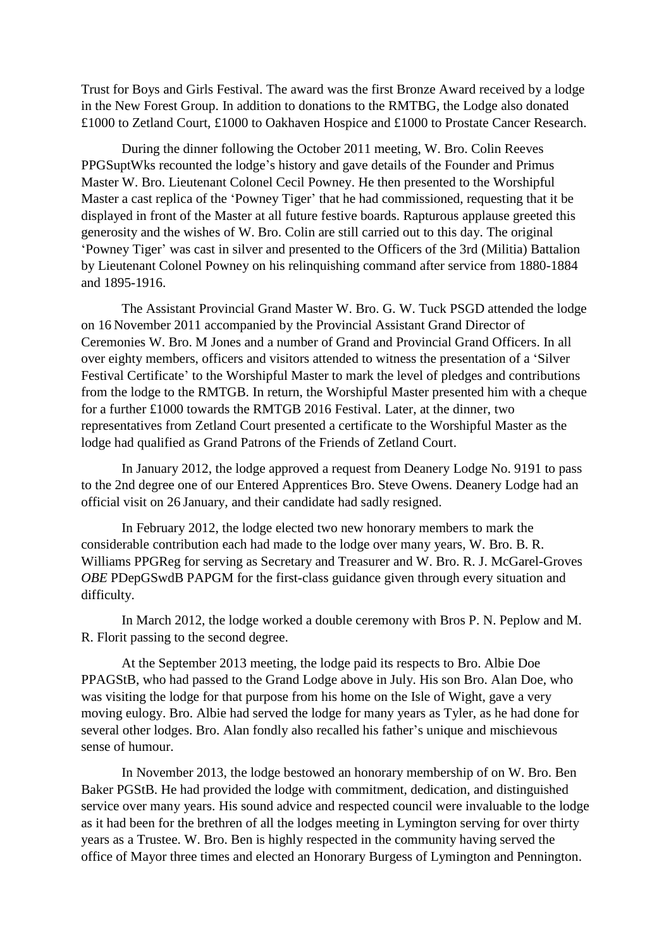Trust for Boys and Girls Festival. The award was the first Bronze Award received by a lodge in the New Forest Group. In addition to donations to the RMTBG, the Lodge also donated £1000 to Zetland Court, £1000 to Oakhaven Hospice and £1000 to Prostate Cancer Research.

During the dinner following the October 2011 meeting, W. Bro. Colin Reeves PPGSuptWks recounted the lodge's history and gave details of the Founder and Primus Master W. Bro. Lieutenant Colonel Cecil Powney. He then presented to the Worshipful Master a cast replica of the 'Powney Tiger' that he had commissioned, requesting that it be displayed in front of the Master at all future festive boards. Rapturous applause greeted this generosity and the wishes of W. Bro. Colin are still carried out to this day. The original 'Powney Tiger' was cast in silver and presented to the Officers of the 3rd (Militia) Battalion by Lieutenant Colonel Powney on his relinquishing command after service from 1880-1884 and 1895-1916.

The Assistant Provincial Grand Master W. Bro. G. W. Tuck PSGD attended the lodge on 16 November 2011 accompanied by the Provincial Assistant Grand Director of Ceremonies W. Bro. M Jones and a number of Grand and Provincial Grand Officers. In all over eighty members, officers and visitors attended to witness the presentation of a 'Silver Festival Certificate' to the Worshipful Master to mark the level of pledges and contributions from the lodge to the RMTGB. In return, the Worshipful Master presented him with a cheque for a further £1000 towards the RMTGB 2016 Festival. Later, at the dinner, two representatives from Zetland Court presented a certificate to the Worshipful Master as the lodge had qualified as Grand Patrons of the Friends of Zetland Court.

In January 2012, the lodge approved a request from Deanery Lodge No. 9191 to pass to the 2nd degree one of our Entered Apprentices Bro. Steve Owens. Deanery Lodge had an official visit on 26 January, and their candidate had sadly resigned.

In February 2012, the lodge elected two new honorary members to mark the considerable contribution each had made to the lodge over many years, W. Bro. B. R. Williams PPGReg for serving as Secretary and Treasurer and W. Bro. R. J. McGarel-Groves *OBE* PDepGSwdB PAPGM for the first-class guidance given through every situation and difficulty.

In March 2012, the lodge worked a double ceremony with Bros P. N. Peplow and M. R. Florit passing to the second degree.

At the September 2013 meeting, the lodge paid its respects to Bro. Albie Doe PPAGStB, who had passed to the Grand Lodge above in July. His son Bro. Alan Doe, who was visiting the lodge for that purpose from his home on the Isle of Wight, gave a very moving eulogy. Bro. Albie had served the lodge for many years as Tyler, as he had done for several other lodges. Bro. Alan fondly also recalled his father's unique and mischievous sense of humour.

In November 2013, the lodge bestowed an honorary membership of on W. Bro. Ben Baker PGStB. He had provided the lodge with commitment, dedication, and distinguished service over many years. His sound advice and respected council were invaluable to the lodge as it had been for the brethren of all the lodges meeting in Lymington serving for over thirty years as a Trustee. W. Bro. Ben is highly respected in the community having served the office of Mayor three times and elected an Honorary Burgess of Lymington and Pennington.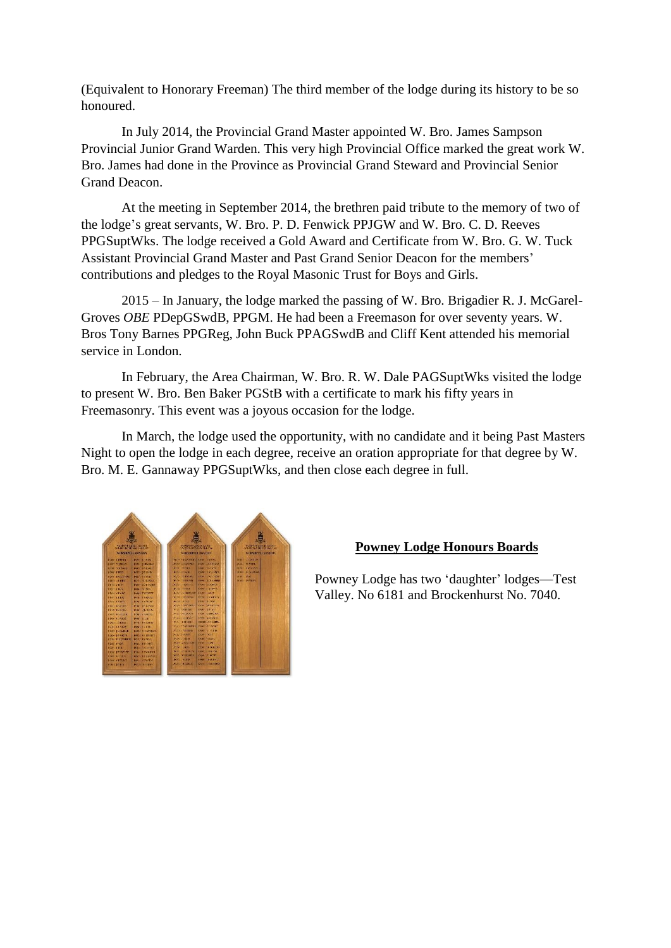(Equivalent to Honorary Freeman) The third member of the lodge during its history to be so honoured.

In July 2014, the Provincial Grand Master appointed W. Bro. James Sampson Provincial Junior Grand Warden. This very high Provincial Office marked the great work W. Bro. James had done in the Province as Provincial Grand Steward and Provincial Senior Grand Deacon.

At the meeting in September 2014, the brethren paid tribute to the memory of two of the lodge's great servants, W. Bro. P. D. Fenwick PPJGW and W. Bro. C. D. Reeves PPGSuptWks. The lodge received a Gold Award and Certificate from W. Bro. G. W. Tuck Assistant Provincial Grand Master and Past Grand Senior Deacon for the members' contributions and pledges to the Royal Masonic Trust for Boys and Girls.

2015 – In January, the lodge marked the passing of W. Bro. Brigadier R. J. McGarel-Groves *OBE* PDepGSwdB, PPGM. He had been a Freemason for over seventy years. W. Bros Tony Barnes PPGReg, John Buck PPAGSwdB and Cliff Kent attended his memorial service in London.

In February, the Area Chairman, W. Bro. R. W. Dale PAGSuptWks visited the lodge to present W. Bro. Ben Baker PGStB with a certificate to mark his fifty years in Freemasonry. This event was a joyous occasion for the lodge.

In March, the lodge used the opportunity, with no candidate and it being Past Masters Night to open the lodge in each degree, receive an oration appropriate for that degree by W. Bro. M. E. Gannaway PPGSuptWks, and then close each degree in full.



## **Powney Lodge Honours Boards**

Powney Lodge has two 'daughter' lodges—Test Valley. No 6181 and Brockenhurst No. 7040.